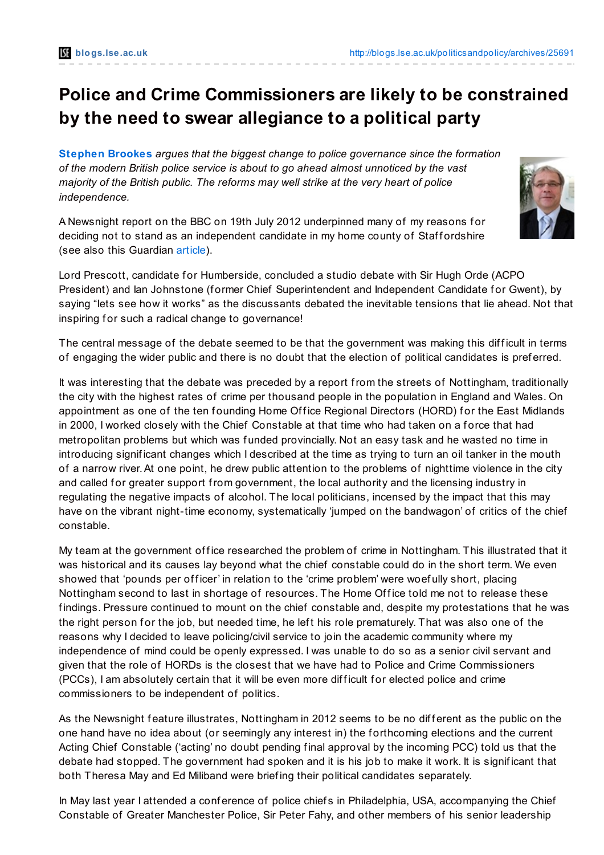## **Police and Crime Commissioners are likely to be constrained by the need to swear allegiance to a political party**

**[Stephen](http://blogs.lse.ac.uk/politicsandpolicy/?p=25691#Author) Brookes** *argues that the biggest change to police governance since the formation of the modern British police service is about to go ahead almost unnoticed by the vast majority of the British public. The reforms may well strike at the very heart of police independence.*

A Newsnight report on the BBC on 19th July 2012 underpinned many of my reasons f or deciding not to stand as an independent candidate in my home county of Staff ordshire (see also this Guardian [article](http://t.co/gTPihRMC)).



Lord Prescott, candidate for Humberside, concluded a studio debate with Sir Hugh Orde (ACPO President) and Ian Johnstone (former Chief Superintendent and Independent Candidate for Gwent), by saying "lets see how it works" as the discussants debated the inevitable tensions that lie ahead. Not that inspiring for such a radical change to governance!

The central message of the debate seemed to be that the government was making this difficult in terms of engaging the wider public and there is no doubt that the election of political candidates is pref erred.

It was interesting that the debate was preceded by a report from the streets of Nottingham, traditionally the city with the highest rates of crime per thousand people in the population in England and Wales. On appointment as one of the ten founding Home Office Regional Directors (HORD) for the East Midlands in 2000, I worked closely with the Chief Constable at that time who had taken on a f orce that had metropolitan problems but which was funded provincially. Not an easy task and he wasted no time in introducing significant changes which I described at the time as trying to turn an oil tanker in the mouth of a narrow river.At one point, he drew public attention to the problems of nighttime violence in the city and called for greater support from government, the local authority and the licensing industry in regulating the negative impacts of alcohol. The local politicians, incensed by the impact that this may have on the vibrant night-time economy, systematically 'jumped on the bandwagon' of critics of the chief constable.

My team at the government office researched the problem of crime in Nottingham. This illustrated that it was historical and its causes lay beyond what the chief constable could do in the short term. We even showed that 'pounds per officer' in relation to the 'crime problem' were woefully short, placing Nottingham second to last in shortage of resources. The Home Office told me not to release these findings. Pressure continued to mount on the chief constable and, despite my protestations that he was the right person for the job, but needed time, he left his role prematurely. That was also one of the reasons why I decided to leave policing/civil service to join the academic community where my independence of mind could be openly expressed. I was unable to do so as a senior civil servant and given that the role of HORDs is the closest that we have had to Police and Crime Commissioners (PCCs), I am absolutely certain that it will be even more difficult for elected police and crime commissioners to be independent of politics.

As the Newsnight feature illustrates, Nottingham in 2012 seems to be no different as the public on the one hand have no idea about (or seemingly any interest in) the f orthcoming elections and the current Acting Chief Constable ('acting' no doubt pending final approval by the incoming PCC) told us that the debate had stopped. The government had spoken and it is his job to make it work. It is signif icant that both Theresa May and Ed Miliband were brief ing their political candidates separately.

In May last year I attended a conference of police chiefs in Philadelphia, USA, accompanying the Chief Constable of Greater Manchester Police, Sir Peter Fahy, and other members of his senior leadership